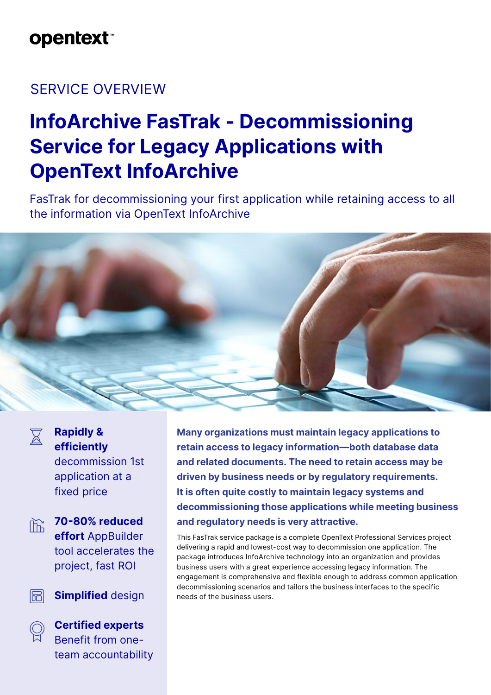# **opentext**™

### SERVICE OVERVIEW

# **InfoArchive FasTrak - Decommissioning Service for Legacy Applications with OpenText InfoArchive**

FasTrak for decommissioning your first application while retaining access to all the information via OpenText InfoArchive





### **Rapidly & efficiently** decommission 1st application at a

fixed price



**70-80% reduced effort** AppBuilder tool accelerates the project, fast ROI

圖 **Simplified** design



**Certified experts** Benefit from oneteam accountability **Many organizations must maintain legacy applications to retain access to legacy information—both database data and related documents. The need to retain access may be driven by business needs or by regulatory requirements. It is often quite costly to maintain legacy systems and decommissioning those applications while meeting business and regulatory needs is very attractive.**

This FasTrak service package is a complete OpenText Professional Services project delivering a rapid and lowest-cost way to decommission one application. The package introduces InfoArchive technology into an organization and provides business users with a great experience accessing legacy information. The engagement is comprehensive and flexible enough to address common application decommissioning scenarios and tailors the business interfaces to the specific needs of the business users.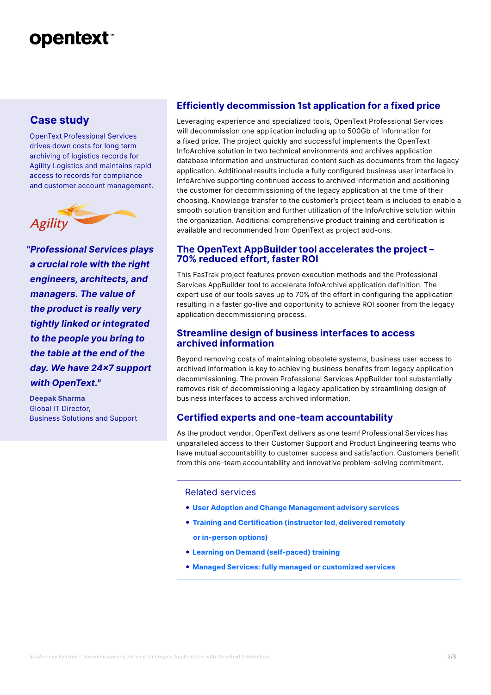# **opentext™**

### **Case study**

OpenText Professional Services drives down costs for long term archiving of logistics records for Agility Logistics and maintains rapid access to records for compliance and customer account management.



*"Professional Services plays a crucial role with the right engineers, architects, and managers. The value of the product is really very tightly linked or integrated to the people you bring to the table at the end of the day. We have 24x7 support with OpenText."*

**Deepak Sharma** Global IT Director, Business Solutions and Support

#### **Efficiently decommission 1st application for a fixed price**

Leveraging experience and specialized tools, OpenText Professional Services will decommission one application including up to 500Gb of information for a fixed price. The project quickly and successful implements the OpenText InfoArchive solution in two technical environments and archives application database information and unstructured content such as documents from the legacy application. Additional results include a fully configured business user interface in InfoArchive supporting continued access to archived information and positioning the customer for decommissioning of the legacy application at the time of their choosing. Knowledge transfer to the customer's project team is included to enable a smooth solution transition and further utilization of the InfoArchive solution within the organization. Additional comprehensive product training and certification is available and recommended from OpenText as project add-ons.

#### **The OpenText AppBuilder tool accelerates the project – 70% reduced effort, faster ROI**

This FasTrak project features proven execution methods and the Professional Services AppBuilder tool to accelerate InfoArchive application definition. The expert use of our tools saves up to 70% of the effort in configuring the application resulting in a faster go-live and opportunity to achieve ROI sooner from the legacy application decommissioning process.

#### **Streamline design of business interfaces to access archived information**

Beyond removing costs of maintaining obsolete systems, business user access to archived information is key to achieving business benefits from legacy application decommissioning. The proven Professional Services AppBuilder tool substantially removes risk of decommissioning a legacy application by streamlining design of business interfaces to access archived information.

#### **Certified experts and one-team accountability**

As the product vendor, OpenText delivers as one team! Professional Services has unparalleled access to their Customer Support and Product Engineering teams who have mutual accountability to customer success and satisfaction. Customers benefit from this one-team accountability and innovative problem-solving commitment.

Related services

- **[User Adoption and Change Management advisory services](https://www.opentext.com/products-and-solutions/services/training-and-learning-services/user-adoption-services)**
- **[Training and Certification \(instructor led, delivered remotely](https://www.opentext.com/products-and-solutions/services/training-and-learning-services/course-catalog/opentext-infoarchive)   [or in-person options\)](https://www.opentext.com/products-and-solutions/services/training-and-learning-services/course-catalog/opentext-infoarchive)**
- **[Learning on Demand \(self-paced\) training](https://www.opentext.com/products-and-solutions/services/training-and-learning-services/learning-on-demand)**
- **[Managed Services: fully managed or customized services](https://www.opentext.com/products-and-solutions/services/managed-services)**